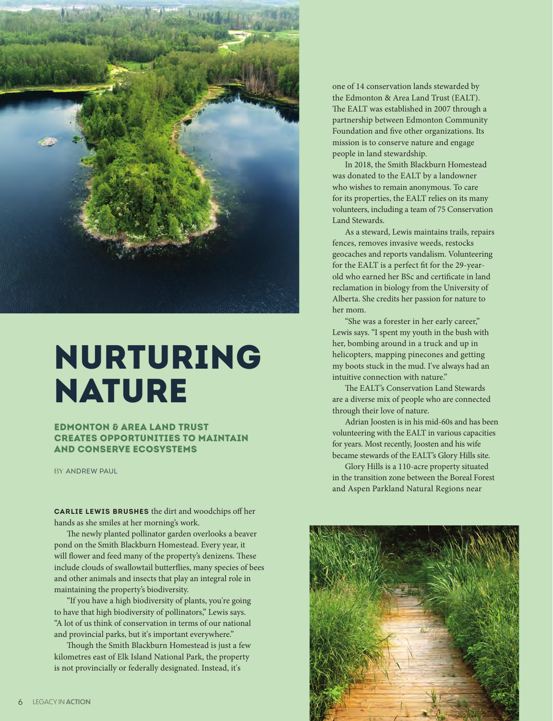

## Nurturing Nature

Edmonton & Area Land Trust creates opportunities to maintain and conserve ecosystems

BY ANDREW PAUL

**Carlie Lewis brushes** the dirt and woodchips off her hands as she smiles at her morning's work.

The newly planted pollinator garden overlooks a beaver pond on the Smith Blackburn Homestead. Every year, it will flower and feed many of the property's denizens. These include clouds of swallowtail butterflies, many species of bees and other animals and insects that play an integral role in maintaining the property's biodiversity.

"If you have a high biodiversity of plants, you're going to have that high biodiversity of pollinators," Lewis says. "A lot of us think of conservation in terms of our national and provincial parks, but it's important everywhere."

Though the Smith Blackburn Homestead is just a few kilometres east of Elk Island National Park, the property is not provincially or federally designated. Instead, it's

one of 14 conservation lands stewarded by the Edmonton & Area Land Trust (EALT). The EALT was established in 2007 through a partnership between Edmonton Community Foundation and five other organizations. Its mission is to conserve nature and engage people in land stewardship.

In 2018, the Smith Blackburn Homestead was donated to the EALT by a landowner who wishes to remain anonymous. To care for its properties, the EALT relies on its many volunteers, including a team of 75 Conservation Land Stewards.

As a steward, Lewis maintains trails, repairs fences, removes invasive weeds, restocks geocaches and reports vandalism. Volunteering for the EALT is a perfect fit for the 29-yearold who earned her BSc and certificate in land reclamation in biology from the University of Alberta. She credits her passion for nature to her mom.

"She was a forester in her early career," Lewis says. "I spent my youth in the bush with her, bombing around in a truck and up in helicopters, mapping pinecones and getting my boots stuck in the mud. I've always had an intuitive connection with nature."

The EALT's Conservation Land Stewards are a diverse mix of people who are connected through their love of nature.

Adrian Joosten is in his mid-60s and has been volunteering with the EALT in various capacities for years. Most recently, Joosten and his wife became stewards of the EALT's Glory Hills site.

Glory Hills is a 110-acre property situated in the transition zone between the Boreal Forest and Aspen Parkland Natural Regions near